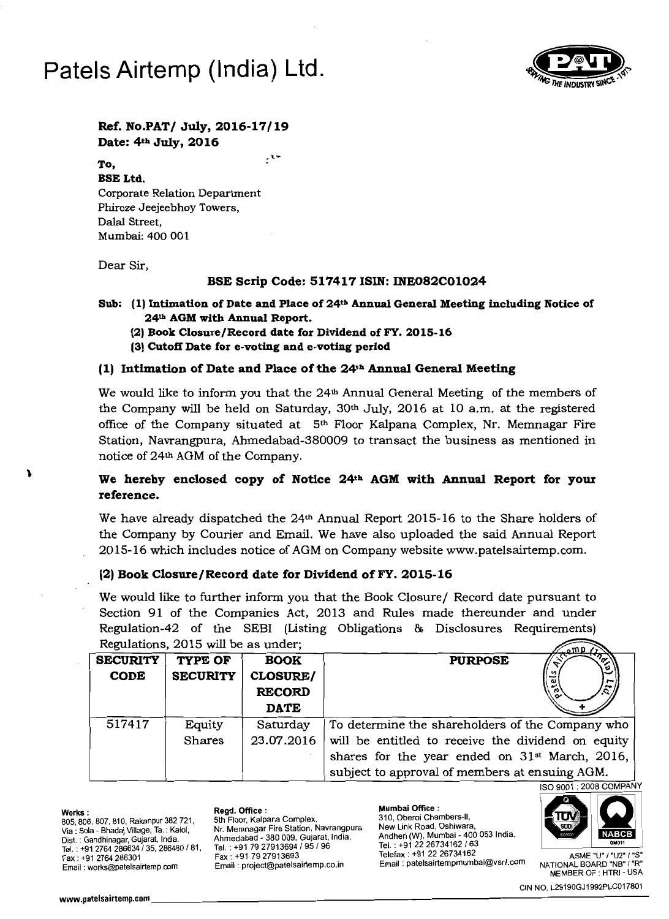# **Patels Airtemp (India) Ltd.**



## **Ref. No.PAT/ July, 2016-17/19 Date: 4th July, 2016**

 $t^{\star}$ 

#### **To,**

**BSE Ltd.** Corporate Relation Department Phiroze Jeejeebhoy Towers, Dalal Street, Mumbai: 400 001

Dear Sir,

#### **BSE Scrip Code: 517417 ISIN: INE082COI024**

**Sub: (1) Intimation** of Date **and Place** of 24th **Annual General Meeting including Notice of 24th AGM with Annual Report.** 

- **(2) Book Closure/Record date for Dividend ofFY. 2015-16**
- **(3) Cutoff Date for e-voting and e-voting period**

### **(1) Intimation** of Date **and Place** ofthe **24th Annual General Meeting**

We would like to inform you that the  $24<sup>th</sup>$  Annual General Meeting of the members of the Company will be held on Saturday,  $30<sup>th</sup>$  July, 2016 at 10 a.m. at the registered office of the Company situated at  $5<sup>th</sup>$  Floor Kalpana Complex, Nr. Memnagar Fire Station, Navrangpura, Ahmedabad-380009 to transact the business as mentioned in notice of 24th AGM of the Company.

# **We hereby enclosed copy of Notice 24th AGM with Annual Report for your reference.**

We have already dispatched the  $24<sup>th</sup>$  Annual Report 2015-16 to the Share holders of the Company by Courier and Email. We have also uploaded the said Annual Report 2015-16 which includes notice of AGM on Company website www.patelsairtemp.com.

### **(2) Book Closure/Record date for Dividend ofFY. 2015-16**

We would like to further inform you that the Book Closure/ Record date pursuant to Section 91 of the Companies Act, 2013 and Rules made thereunder and under Regulation-42 of the SEBI (Listing Obligations & Disclosures Requirements) Regulations, 2015 will be as under;  $\sqrt{2\pi}$ 

|                 |                 |                 | $\mathbb{Z}$ of $\Psi$ $\Lambda$                           |
|-----------------|-----------------|-----------------|------------------------------------------------------------|
| <b>SECURITY</b> | TYPE OF         | <b>BOOK</b>     | <b>PURPOSE</b><br>ಀ                                        |
| <b>CODE</b>     | <b>SECURITY</b> | <b>CLOSURE/</b> | n                                                          |
|                 |                 | <b>RECORD</b>   | ັດ                                                         |
|                 |                 | <b>DATE</b>     |                                                            |
| 517417          | Equity          | Saturday        | To determine the shareholders of the Company who           |
|                 | Shares          | 23.07.2016      | will be entitled to receive the dividend on equity         |
|                 |                 |                 | shares for the year ended on 31 <sup>st</sup> March, 2016, |
|                 |                 |                 | subject to approval of members at ensuing AGM.             |

1

805, 806, 807, 810, Rakanpur 382 721,<br>Via : Sola - Bhadaj Village, Ta. : Kalol, Via: Sola Bhadaj Village, Ta. : Kalol, Nr, Memnagar Fire Station, Navrangpura, New Link Road, Oshiwara, Tel. : +912226734162/63 Dis!. Tel. : +91 7927913694/95/96 Tel. : +91 2764 286634/35, 286480/81, : Gandhinagar, Gujarat, India.

Ahmedabad Andheri (W), Mumbai - 400 053 India. Fax: +91 7927913693 Email: works@patelsairtemp.com Email: project@patelsairtemp.co.in Fax: +91 79 27913693<br>Fax: +91 79 27913693 Fax: +91 22 26734162 Fax: +91 22 26734162 Fax: +91 79 27913693 Fax: +91 79 27913693 Fax: <br>Email: project@patelsairtemp.co.in Email: patelsairtempmumbai@vsnl.com NATIONAL BOARD "NET

Mumbai Office: 310, Oberoi Chambers-II, Works: Regd. Office: 1 The Glation, Nathangpara, Andheri (W), Mumbai - 400 053 India. Telefax : +91 22 26734162  $\sim$   $\sim$  ASME "U" / "U2" / "S"



MEMBER OF : HTRI - USA

CIN NO. L29190GJ1992PLC017801 www.patelsairtemp.com\_\_\_\_\_\_\_\_\_\_\_\_\_\_\_\_\_\_\_\_\_\_\_\_\_\_\_\_\_\_\_\_\_\_\_\_